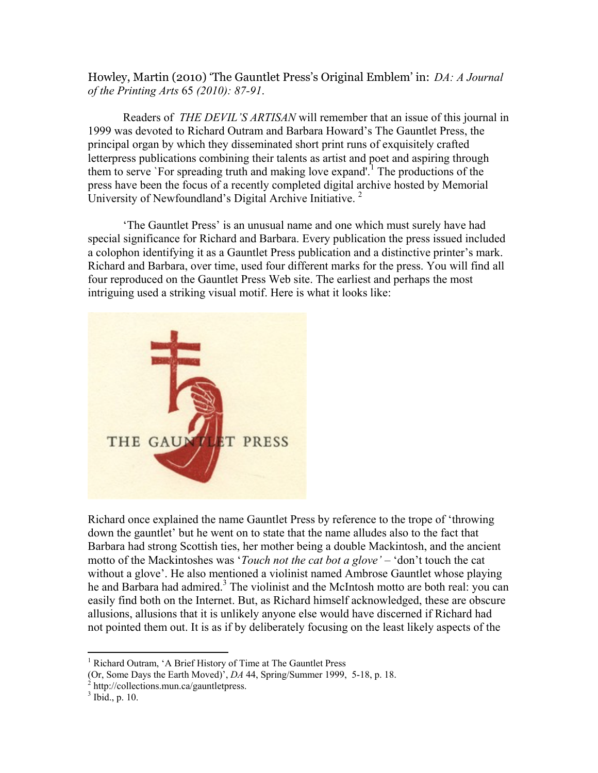Howley, Martin (2010) 'The Gauntlet Press's Original Emblem' in: *DA: A Journal of the Printing Arts* 65 *(2010): 87-91*.

Readers of *THE DEVIL'S ARTISAN* will remember that an issue of this journal in 1999 was devoted to Richard Outram and Barbara Howard's The Gauntlet Press, the principal organ by which they disseminated short print runs of exquisitely crafted letterpress publications combining their talents as artist and poet and aspiring through them to serve `For spreading truth and making love expand'.<sup>1</sup> The productions of the press have been the focus of a recently completed digital archive hosted by Memorial University of Newfoundland's Digital Archive Initiative.<sup>2</sup>

'The Gauntlet Press' is an unusual name and one which must surely have had special significance for Richard and Barbara. Every publication the press issued included a colophon identifying it as a Gauntlet Press publication and a distinctive printer's mark. Richard and Barbara, over time, used four different marks for the press. You will find all four reproduced on the Gauntlet Press Web site. The earliest and perhaps the most intriguing used a striking visual motif. Here is what it looks like:



Richard once explained the name Gauntlet Press by reference to the trope of 'throwing down the gauntlet' but he went on to state that the name alludes also to the fact that Barbara had strong Scottish ties, her mother being a double Mackintosh, and the ancient motto of the Mackintoshes was '*Touch not the cat bot a glove'* – 'don't touch the cat without a glove'. He also mentioned a violinist named Ambrose Gauntlet whose playing he and Barbara had admired.<sup>3</sup> The violinist and the McIntosh motto are both real: you can easily find both on the Internet. But, as Richard himself acknowledged, these are obscure allusions, allusions that it is unlikely anyone else would have discerned if Richard had not pointed them out. It is as if by deliberately focusing on the least likely aspects of the

 $\overline{a}$ 

<sup>1</sup> Richard Outram, 'A Brief History of Time at The Gauntlet Press

<sup>(</sup>Or, Some Days the Earth Moved)', *DA* 44, Spring/Summer 1999, 5-18, p. 18.

<sup>&</sup>lt;sup>2</sup> http://collections.mun.ca/gauntletpress.

 $3$  Ibid., p. 10.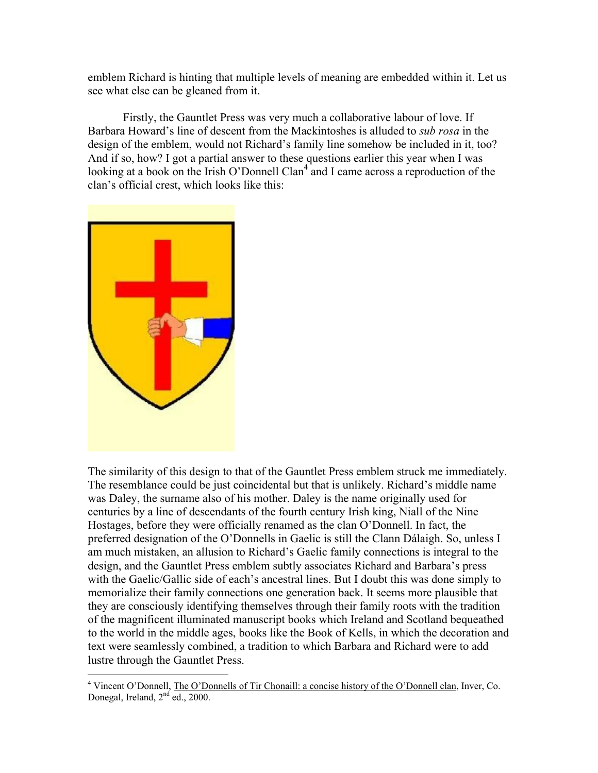emblem Richard is hinting that multiple levels of meaning are embedded within it. Let us see what else can be gleaned from it.

Firstly, the Gauntlet Press was very much a collaborative labour of love. If Barbara Howard's line of descent from the Mackintoshes is alluded to *sub rosa* in the design of the emblem, would not Richard's family line somehow be included in it, too? And if so, how? I got a partial answer to these questions earlier this year when I was looking at a book on the Irish O'Donnell Clan<sup>4</sup> and I came across a reproduction of the clan's official crest, which looks like this:



 $\overline{a}$ 

The similarity of this design to that of the Gauntlet Press emblem struck me immediately. The resemblance could be just coincidental but that is unlikely. Richard's middle name was Daley, the surname also of his mother. Daley is the name originally used for centuries by a line of descendants of the fourth century Irish king, Niall of the Nine Hostages, before they were officially renamed as the clan O'Donnell. In fact, the preferred designation of the O'Donnells in Gaelic is still the Clann Dálaigh. So, unless I am much mistaken, an allusion to Richard's Gaelic family connections is integral to the design, and the Gauntlet Press emblem subtly associates Richard and Barbara's press with the Gaelic/Gallic side of each's ancestral lines. But I doubt this was done simply to memorialize their family connections one generation back. It seems more plausible that they are consciously identifying themselves through their family roots with the tradition of the magnificent illuminated manuscript books which Ireland and Scotland bequeathed to the world in the middle ages, books like the Book of Kells, in which the decoration and text were seamlessly combined, a tradition to which Barbara and Richard were to add lustre through the Gauntlet Press.

<sup>&</sup>lt;sup>4</sup> Vincent O'Donnell, The O'Donnells of Tir Chonaill: a concise history of the O'Donnell clan, Inver, Co. Donegal, Ireland,  $2<sup>nd</sup>$  ed., 2000.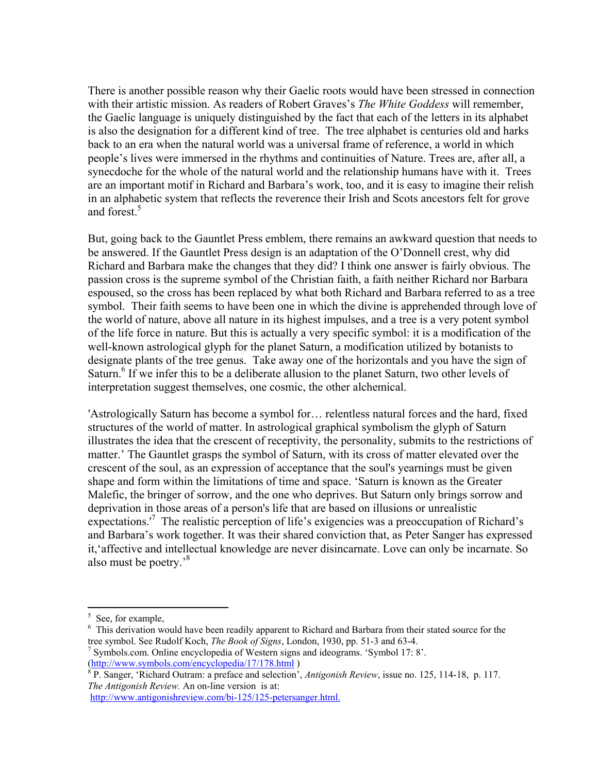There is another possible reason why their Gaelic roots would have been stressed in connection with their artistic mission. As readers of Robert Graves's *The White Goddess* will remember, the Gaelic language is uniquely distinguished by the fact that each of the letters in its alphabet is also the designation for a different kind of tree. The tree alphabet is centuries old and harks back to an era when the natural world was a universal frame of reference, a world in which people's lives were immersed in the rhythms and continuities of Nature. Trees are, after all, a synecdoche for the whole of the natural world and the relationship humans have with it. Trees are an important motif in Richard and Barbara's work, too, and it is easy to imagine their relish in an alphabetic system that reflects the reverence their Irish and Scots ancestors felt for grove and forest.<sup>5</sup>

But, going back to the Gauntlet Press emblem, there remains an awkward question that needs to be answered. If the Gauntlet Press design is an adaptation of the O'Donnell crest, why did Richard and Barbara make the changes that they did? I think one answer is fairly obvious. The passion cross is the supreme symbol of the Christian faith, a faith neither Richard nor Barbara espoused, so the cross has been replaced by what both Richard and Barbara referred to as a tree symbol. Their faith seems to have been one in which the divine is apprehended through love of the world of nature, above all nature in its highest impulses, and a tree is a very potent symbol of the life force in nature. But this is actually a very specific symbol: it is a modification of the well-known astrological glyph for the planet Saturn, a modification utilized by botanists to designate plants of the tree genus. Take away one of the horizontals and you have the sign of Saturn.<sup>6</sup> If we infer this to be a deliberate allusion to the planet Saturn, two other levels of interpretation suggest themselves, one cosmic, the other alchemical.

'Astrologically Saturn has become a symbol for… relentless natural forces and the hard, fixed structures of the world of matter. In astrological graphical symbolism the glyph of Saturn illustrates the idea that the crescent of receptivity, the personality, submits to the restrictions of matter.' The Gauntlet grasps the symbol of Saturn, with its cross of matter elevated over the crescent of the soul, as an expression of acceptance that the soul's yearnings must be given shape and form within the limitations of time and space. 'Saturn is known as the Greater Malefic, the bringer of sorrow, and the one who deprives. But Saturn only brings sorrow and deprivation in those areas of a person's life that are based on illusions or unrealistic expectations.<sup>'7</sup> The realistic perception of life's exigencies was a preoccupation of Richard's and Barbara's work together. It was their shared conviction that, as Peter Sanger has expressed it,'affective and intellectual knowledge are never disincarnate. Love can only be incarnate. So also must be poetry.<sup>8</sup>

 $\overline{a}$ 

<sup>5</sup> See, for example,

<sup>&</sup>lt;sup>6</sup> This derivation would have been readily apparent to Richard and Barbara from their stated source for the tree symbol. See Rudolf Koch, *The Book of Signs*, London, 1930, pp. 51-3 and 63-4.

<sup>7</sup> Symbols.com. Online encyclopedia of Western signs and ideograms. 'Symbol 17: 8'.

[<sup>\(</sup>http://www.symbols.com/encyclopedia/17/178.html](http://www.symbols.com/encyclopedia/17/178.html) ) 8 P. Sanger, 'Richard Outram: a preface and selection', *Antigonish Review*, issue no. 125, 114-18, p. 117. *The Antigonish Review.* An on-line version is at:

[http://www.antigonishreview.com/bi-125/125-petersanger.html.](http://www.antigonishreview.com/bi-125/125-petersanger.html)